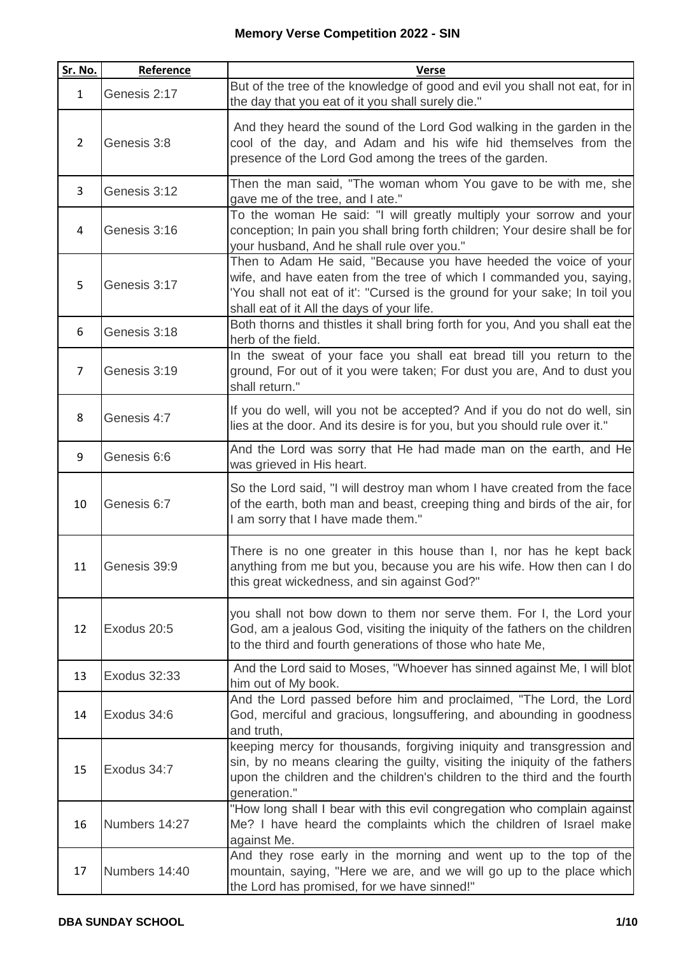| Sr. No.        | Reference     | <b>Verse</b>                                                                                                                                                                                                                                                          |
|----------------|---------------|-----------------------------------------------------------------------------------------------------------------------------------------------------------------------------------------------------------------------------------------------------------------------|
| $\mathbf{1}$   | Genesis 2:17  | But of the tree of the knowledge of good and evil you shall not eat, for in<br>the day that you eat of it you shall surely die."                                                                                                                                      |
| $\overline{2}$ | Genesis 3:8   | And they heard the sound of the Lord God walking in the garden in the<br>cool of the day, and Adam and his wife hid themselves from the<br>presence of the Lord God among the trees of the garden.                                                                    |
| 3              | Genesis 3:12  | Then the man said, "The woman whom You gave to be with me, she<br>gave me of the tree, and I ate."                                                                                                                                                                    |
| 4              | Genesis 3:16  | To the woman He said: "I will greatly multiply your sorrow and your<br>conception; In pain you shall bring forth children; Your desire shall be for<br>your husband, And he shall rule over you."                                                                     |
| 5              | Genesis 3:17  | Then to Adam He said, "Because you have heeded the voice of your<br>wife, and have eaten from the tree of which I commanded you, saying,<br>'You shall not eat of it': "Cursed is the ground for your sake; In toil you<br>shall eat of it All the days of your life. |
| 6              | Genesis 3:18  | Both thorns and thistles it shall bring forth for you, And you shall eat the<br>herb of the field.                                                                                                                                                                    |
| $\overline{7}$ | Genesis 3:19  | In the sweat of your face you shall eat bread till you return to the<br>ground, For out of it you were taken; For dust you are, And to dust you<br>shall return."                                                                                                     |
| 8              | Genesis 4:7   | If you do well, will you not be accepted? And if you do not do well, sin<br>lies at the door. And its desire is for you, but you should rule over it."                                                                                                                |
| 9              | Genesis 6:6   | And the Lord was sorry that He had made man on the earth, and He<br>was grieved in His heart.                                                                                                                                                                         |
| 10             | Genesis 6:7   | So the Lord said, "I will destroy man whom I have created from the face<br>of the earth, both man and beast, creeping thing and birds of the air, for<br>I am sorry that I have made them."                                                                           |
| 11             | Genesis 39:9  | There is no one greater in this house than I, nor has he kept back<br>anything from me but you, because you are his wife. How then can I do<br>this great wickedness, and sin against God?"                                                                           |
| 12             | Exodus 20:5   | you shall not bow down to them nor serve them. For I, the Lord your<br>God, am a jealous God, visiting the iniquity of the fathers on the children<br>to the third and fourth generations of those who hate Me,                                                       |
| 13             | Exodus 32:33  | And the Lord said to Moses, "Whoever has sinned against Me, I will blot<br>him out of My book.                                                                                                                                                                        |
| 14             | Exodus 34:6   | And the Lord passed before him and proclaimed, "The Lord, the Lord<br>God, merciful and gracious, longsuffering, and abounding in goodness<br>and truth,                                                                                                              |
| 15             | Exodus 34:7   | keeping mercy for thousands, forgiving iniquity and transgression and<br>sin, by no means clearing the guilty, visiting the iniquity of the fathers<br>upon the children and the children's children to the third and the fourth<br>generation."                      |
| 16             | Numbers 14:27 | "How long shall I bear with this evil congregation who complain against<br>Me? I have heard the complaints which the children of Israel make<br>against Me.                                                                                                           |
| 17             | Numbers 14:40 | And they rose early in the morning and went up to the top of the<br>mountain, saying, "Here we are, and we will go up to the place which<br>the Lord has promised, for we have sinned!"                                                                               |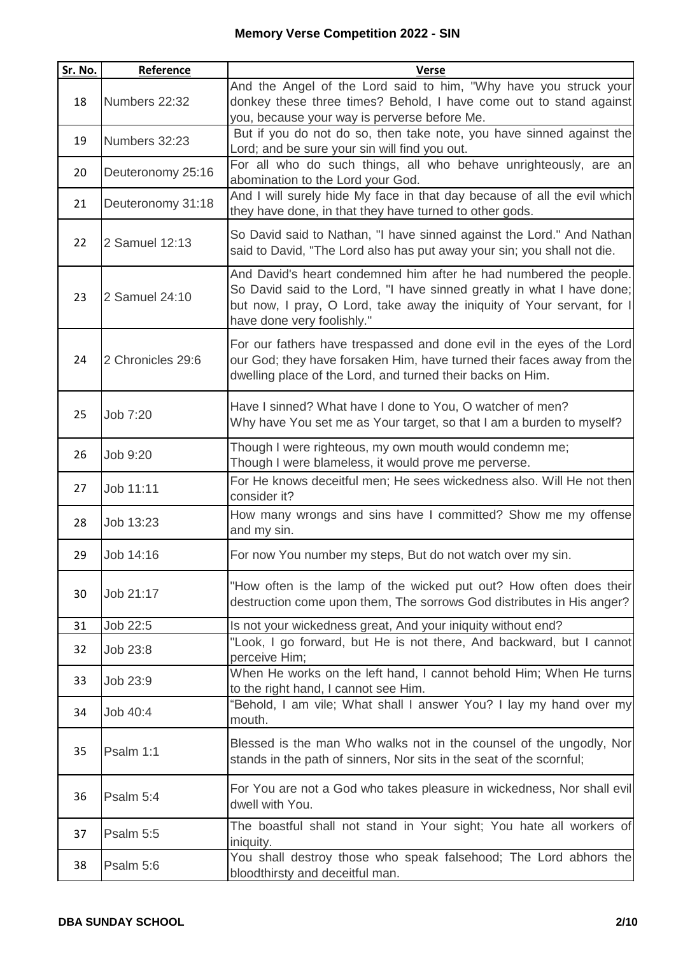| Sr. No. | Reference         | <b>Verse</b>                                                                                                                                                                                                                                        |
|---------|-------------------|-----------------------------------------------------------------------------------------------------------------------------------------------------------------------------------------------------------------------------------------------------|
| 18      | Numbers 22:32     | And the Angel of the Lord said to him, "Why have you struck your<br>donkey these three times? Behold, I have come out to stand against<br>you, because your way is perverse before Me.                                                              |
| 19      | Numbers 32:23     | But if you do not do so, then take note, you have sinned against the<br>Lord; and be sure your sin will find you out.                                                                                                                               |
| 20      | Deuteronomy 25:16 | For all who do such things, all who behave unrighteously, are an<br>abomination to the Lord your God.                                                                                                                                               |
| 21      | Deuteronomy 31:18 | And I will surely hide My face in that day because of all the evil which<br>they have done, in that they have turned to other gods.                                                                                                                 |
| 22      | 2 Samuel 12:13    | So David said to Nathan, "I have sinned against the Lord." And Nathan<br>said to David, "The Lord also has put away your sin; you shall not die.                                                                                                    |
| 23      | 2 Samuel 24:10    | And David's heart condemned him after he had numbered the people.<br>So David said to the Lord, "I have sinned greatly in what I have done;<br>but now, I pray, O Lord, take away the iniquity of Your servant, for I<br>have done very foolishly." |
| 24      | 2 Chronicles 29:6 | For our fathers have trespassed and done evil in the eyes of the Lord<br>our God; they have forsaken Him, have turned their faces away from the<br>dwelling place of the Lord, and turned their backs on Him.                                       |
| 25      | Job 7:20          | Have I sinned? What have I done to You, O watcher of men?<br>Why have You set me as Your target, so that I am a burden to myself?                                                                                                                   |
| 26      | Job 9:20          | Though I were righteous, my own mouth would condemn me;<br>Though I were blameless, it would prove me perverse.                                                                                                                                     |
| 27      | Job 11:11         | For He knows deceitful men; He sees wickedness also. Will He not then<br>consider it?                                                                                                                                                               |
| 28      | Job 13:23         | How many wrongs and sins have I committed? Show me my offense<br>and my sin.                                                                                                                                                                        |
| 29      | Job 14:16         | For now You number my steps, But do not watch over my sin.                                                                                                                                                                                          |
| 30      | Job 21:17         | "How often is the lamp of the wicked put out? How often does their<br>destruction come upon them, The sorrows God distributes in His anger?                                                                                                         |
| 31      | Job 22:5          | Is not your wickedness great, And your iniquity without end?                                                                                                                                                                                        |
| 32      | Job 23:8          | "Look, I go forward, but He is not there, And backward, but I cannot<br>perceive Him;                                                                                                                                                               |
| 33      | Job 23:9          | When He works on the left hand, I cannot behold Him; When He turns<br>to the right hand, I cannot see Him.                                                                                                                                          |
| 34      | Job 40:4          | "Behold, I am vile; What shall I answer You? I lay my hand over my<br>mouth.                                                                                                                                                                        |
| 35      | Psalm 1:1         | Blessed is the man Who walks not in the counsel of the ungodly, Nor<br>stands in the path of sinners, Nor sits in the seat of the scornful;                                                                                                         |
| 36      | Psalm 5:4         | For You are not a God who takes pleasure in wickedness, Nor shall evil<br>dwell with You.                                                                                                                                                           |
| 37      | Psalm 5:5         | The boastful shall not stand in Your sight; You hate all workers of<br>iniquity.                                                                                                                                                                    |
| 38      | Psalm 5:6         | You shall destroy those who speak falsehood; The Lord abhors the<br>bloodthirsty and deceitful man.                                                                                                                                                 |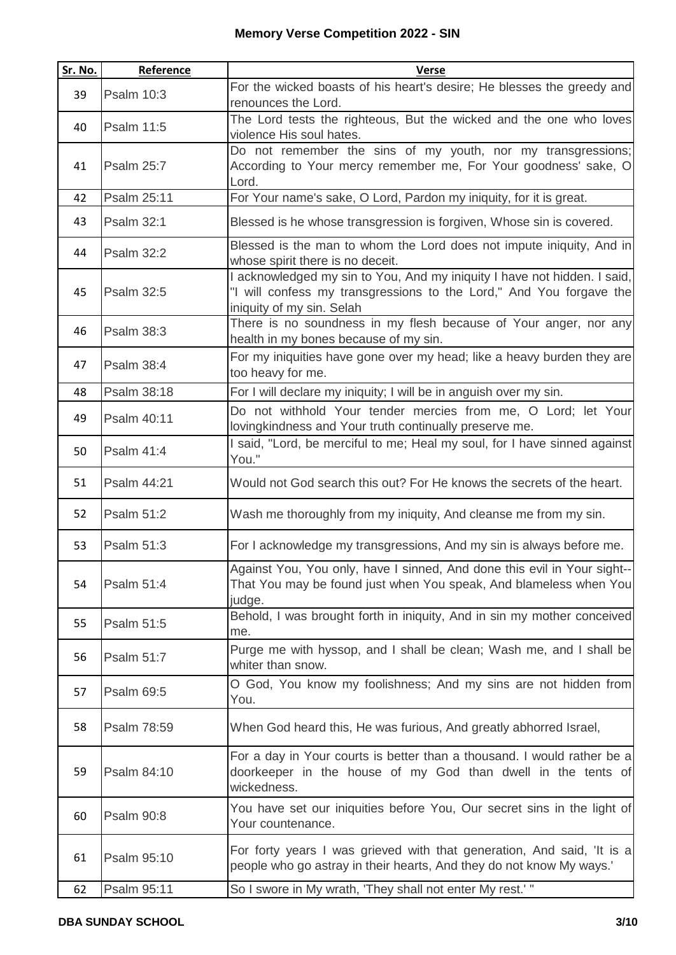| Sr. No. | Reference         | <b>Verse</b>                                                                                                                                                                 |
|---------|-------------------|------------------------------------------------------------------------------------------------------------------------------------------------------------------------------|
| 39      | Psalm 10:3        | For the wicked boasts of his heart's desire; He blesses the greedy and<br>renounces the Lord.                                                                                |
| 40      | Psalm 11:5        | The Lord tests the righteous, But the wicked and the one who loves<br>violence His soul hates.                                                                               |
| 41      | <b>Psalm 25:7</b> | Do not remember the sins of my youth, nor my transgressions;<br>According to Your mercy remember me, For Your goodness' sake, O<br>Lord.                                     |
| 42      | Psalm 25:11       | For Your name's sake, O Lord, Pardon my iniquity, for it is great.                                                                                                           |
| 43      | <b>Psalm 32:1</b> | Blessed is he whose transgression is forgiven, Whose sin is covered.                                                                                                         |
| 44      | <b>Psalm 32:2</b> | Blessed is the man to whom the Lord does not impute iniquity, And in<br>whose spirit there is no deceit.                                                                     |
| 45      | Psalm 32:5        | I acknowledged my sin to You, And my iniquity I have not hidden. I said,<br>"I will confess my transgressions to the Lord," And You forgave the<br>iniquity of my sin. Selah |
| 46      | Psalm 38:3        | There is no soundness in my flesh because of Your anger, nor any<br>health in my bones because of my sin.                                                                    |
| 47      | <b>Psalm 38:4</b> | For my iniquities have gone over my head; like a heavy burden they are<br>too heavy for me.                                                                                  |
| 48      | Psalm 38:18       | For I will declare my iniquity; I will be in anguish over my sin.                                                                                                            |
| 49      | Psalm 40:11       | Do not withhold Your tender mercies from me, O Lord; let Your<br>lovingkindness and Your truth continually preserve me.                                                      |
| 50      | Psalm 41:4        | I said, "Lord, be merciful to me; Heal my soul, for I have sinned against<br>You."                                                                                           |
| 51      | Psalm 44:21       | Would not God search this out? For He knows the secrets of the heart.                                                                                                        |
| 52      | Psalm 51:2        | Wash me thoroughly from my iniquity, And cleanse me from my sin.                                                                                                             |
| 53      | Psalm 51:3        | For I acknowledge my transgressions, And my sin is always before me.                                                                                                         |
| 54      | Psalm 51:4        | Against You, You only, have I sinned, And done this evil in Your sight--<br>That You may be found just when You speak, And blameless when You<br>judge.                      |
| 55      | Psalm 51:5        | Behold, I was brought forth in iniquity, And in sin my mother conceived<br>me.                                                                                               |
| 56      | Psalm 51:7        | Purge me with hyssop, and I shall be clean; Wash me, and I shall be<br>whiter than snow.                                                                                     |
| 57      | Psalm 69:5        | O God, You know my foolishness; And my sins are not hidden from<br>You.                                                                                                      |
| 58      | Psalm 78:59       | When God heard this, He was furious, And greatly abhorred Israel,                                                                                                            |
| 59      | Psalm 84:10       | For a day in Your courts is better than a thousand. I would rather be a<br>doorkeeper in the house of my God than dwell in the tents of<br>wickedness.                       |
| 60      | <b>Psalm 90:8</b> | You have set our iniquities before You, Our secret sins in the light of<br>Your countenance.                                                                                 |
| 61      | Psalm 95:10       | For forty years I was grieved with that generation, And said, 'It is a<br>people who go astray in their hearts, And they do not know My ways.'                               |
| 62      | Psalm 95:11       | So I swore in My wrath, 'They shall not enter My rest.' "                                                                                                                    |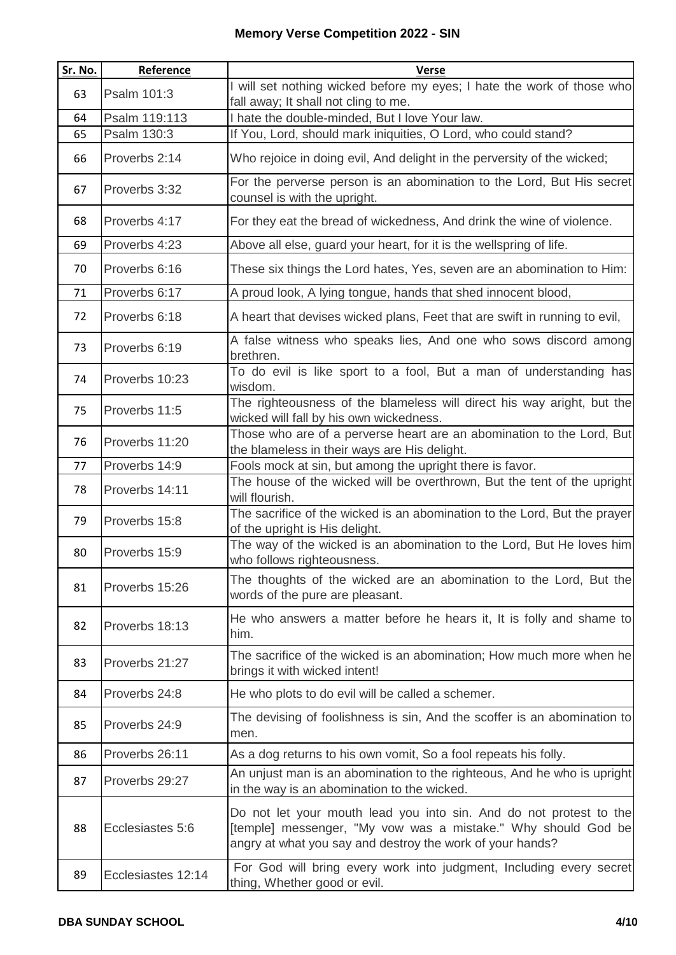| <b>Sr. No.</b> | Reference          | <b>Verse</b>                                                                                                                                                                                     |
|----------------|--------------------|--------------------------------------------------------------------------------------------------------------------------------------------------------------------------------------------------|
| 63             | Psalm 101:3        | I will set nothing wicked before my eyes; I hate the work of those who<br>fall away; It shall not cling to me.                                                                                   |
| 64             | Psalm 119:113      | I hate the double-minded, But I love Your law.                                                                                                                                                   |
| 65             | Psalm 130:3        | If You, Lord, should mark iniquities, O Lord, who could stand?                                                                                                                                   |
| 66             | Proverbs 2:14      | Who rejoice in doing evil, And delight in the perversity of the wicked;                                                                                                                          |
| 67             | Proverbs 3:32      | For the perverse person is an abomination to the Lord, But His secret<br>counsel is with the upright.                                                                                            |
| 68             | Proverbs 4:17      | For they eat the bread of wickedness, And drink the wine of violence.                                                                                                                            |
| 69             | Proverbs 4:23      | Above all else, guard your heart, for it is the wellspring of life.                                                                                                                              |
| 70             | Proverbs 6:16      | These six things the Lord hates, Yes, seven are an abomination to Him:                                                                                                                           |
| 71             | Proverbs 6:17      | A proud look, A lying tongue, hands that shed innocent blood,                                                                                                                                    |
| 72             | Proverbs 6:18      | A heart that devises wicked plans, Feet that are swift in running to evil,                                                                                                                       |
| 73             | Proverbs 6:19      | A false witness who speaks lies, And one who sows discord among<br>brethren.                                                                                                                     |
| 74             | Proverbs 10:23     | To do evil is like sport to a fool, But a man of understanding has<br>wisdom.                                                                                                                    |
| 75             | Proverbs 11:5      | The righteousness of the blameless will direct his way aright, but the<br>wicked will fall by his own wickedness.                                                                                |
| 76             | Proverbs 11:20     | Those who are of a perverse heart are an abomination to the Lord, But<br>the blameless in their ways are His delight.                                                                            |
| 77             | Proverbs 14:9      | Fools mock at sin, but among the upright there is favor.                                                                                                                                         |
| 78             | Proverbs 14:11     | The house of the wicked will be overthrown, But the tent of the upright<br>will flourish.                                                                                                        |
| 79             | Proverbs 15:8      | The sacrifice of the wicked is an abomination to the Lord, But the prayer<br>of the upright is His delight.                                                                                      |
| 80             | Proverbs 15:9      | The way of the wicked is an abomination to the Lord, But He loves him<br>who follows righteousness.                                                                                              |
| 81             | Proverbs 15:26     | The thoughts of the wicked are an abomination to the Lord, But the<br>words of the pure are pleasant.                                                                                            |
| 82             | Proverbs 18:13     | He who answers a matter before he hears it, It is folly and shame to<br>him.                                                                                                                     |
| 83             | Proverbs 21:27     | The sacrifice of the wicked is an abomination; How much more when he<br>brings it with wicked intent!                                                                                            |
| 84             | Proverbs 24:8      | He who plots to do evil will be called a schemer.                                                                                                                                                |
| 85             | Proverbs 24:9      | The devising of foolishness is sin, And the scoffer is an abomination to<br>men.                                                                                                                 |
| 86             | Proverbs 26:11     | As a dog returns to his own vomit, So a fool repeats his folly.                                                                                                                                  |
| 87             | Proverbs 29:27     | An unjust man is an abomination to the righteous, And he who is upright<br>in the way is an abomination to the wicked.                                                                           |
| 88             | Ecclesiastes 5:6   | Do not let your mouth lead you into sin. And do not protest to the<br>[temple] messenger, "My vow was a mistake." Why should God be<br>angry at what you say and destroy the work of your hands? |
| 89             | Ecclesiastes 12:14 | For God will bring every work into judgment, Including every secret<br>thing, Whether good or evil.                                                                                              |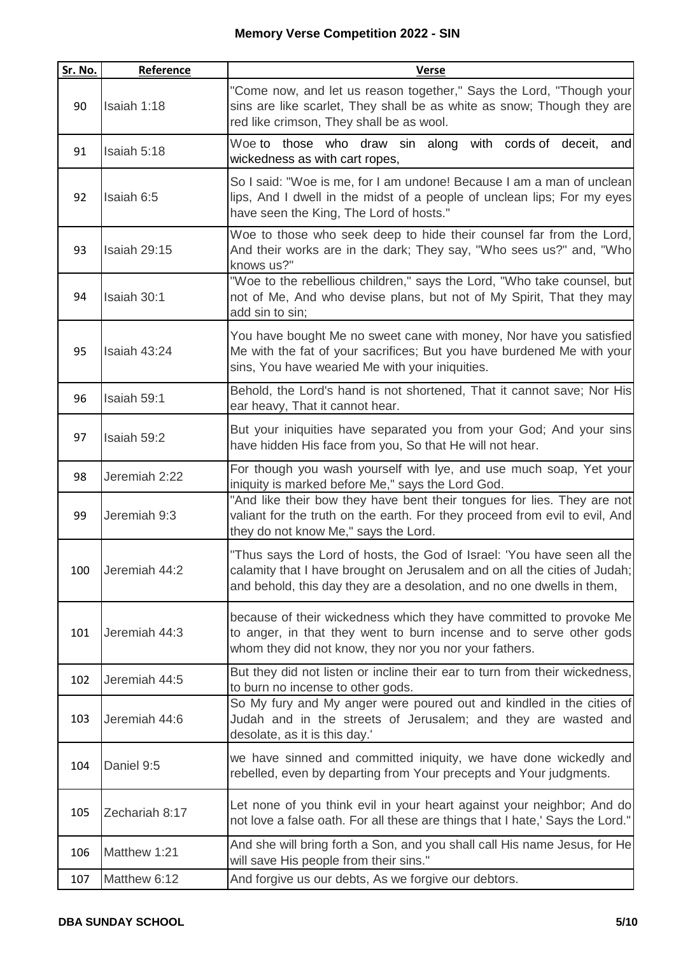| Sr. No. | Reference         | <b>Verse</b>                                                                                                                                                                                                                   |
|---------|-------------------|--------------------------------------------------------------------------------------------------------------------------------------------------------------------------------------------------------------------------------|
| 90      | Isaiah 1:18       | "Come now, and let us reason together," Says the Lord, "Though your<br>sins are like scarlet, They shall be as white as snow; Though they are<br>red like crimson, They shall be as wool.                                      |
| 91      | Isaiah 5:18       | Woe to those who draw sin along with cords of deceit, and<br>wickedness as with cart ropes,                                                                                                                                    |
| 92      | Isaiah 6:5        | So I said: "Woe is me, for I am undone! Because I am a man of unclean<br>lips, And I dwell in the midst of a people of unclean lips; For my eyes<br>have seen the King, The Lord of hosts."                                    |
| 93      | Isaiah 29:15      | Woe to those who seek deep to hide their counsel far from the Lord,<br>And their works are in the dark; They say, "Who sees us?" and, "Who<br>knows us?"                                                                       |
| 94      | Isaiah 30:1       | "Woe to the rebellious children," says the Lord, "Who take counsel, but<br>not of Me, And who devise plans, but not of My Spirit, That they may<br>add sin to sin;                                                             |
| 95      | Isaiah 43:24      | You have bought Me no sweet cane with money, Nor have you satisfied<br>Me with the fat of your sacrifices; But you have burdened Me with your<br>sins, You have wearied Me with your iniquities.                               |
| 96      | Isaiah 59:1       | Behold, the Lord's hand is not shortened, That it cannot save; Nor His<br>ear heavy, That it cannot hear.                                                                                                                      |
| 97      | Isaiah 59:2       | But your iniquities have separated you from your God; And your sins<br>have hidden His face from you, So that He will not hear.                                                                                                |
| 98      | Jeremiah 2:22     | For though you wash yourself with lye, and use much soap, Yet your<br>iniquity is marked before Me," says the Lord God.                                                                                                        |
| 99      | Jeremiah 9:3      | "And like their bow they have bent their tongues for lies. They are not<br>valiant for the truth on the earth. For they proceed from evil to evil, And<br>they do not know Me," says the Lord.                                 |
|         | 100 Jeremiah 44:2 | "Thus says the Lord of hosts, the God of Israel: 'You have seen all the<br>calamity that I have brought on Jerusalem and on all the cities of Judah;<br>and behold, this day they are a desolation, and no one dwells in them, |
| 101     | Jeremiah 44:3     | because of their wickedness which they have committed to provoke Me<br>to anger, in that they went to burn incense and to serve other gods<br>whom they did not know, they nor you nor your fathers.                           |
| 102     | Jeremiah 44:5     | But they did not listen or incline their ear to turn from their wickedness,<br>to burn no incense to other gods.                                                                                                               |
| 103     | Jeremiah 44:6     | So My fury and My anger were poured out and kindled in the cities of<br>Judah and in the streets of Jerusalem; and they are wasted and<br>desolate, as it is this day.'                                                        |
| 104     | Daniel 9:5        | we have sinned and committed iniquity, we have done wickedly and<br>rebelled, even by departing from Your precepts and Your judgments.                                                                                         |
| 105     | Zechariah 8:17    | Let none of you think evil in your heart against your neighbor; And do<br>not love a false oath. For all these are things that I hate,' Says the Lord."                                                                        |
| 106     | Matthew 1:21      | And she will bring forth a Son, and you shall call His name Jesus, for He<br>will save His people from their sins."                                                                                                            |
| 107     | Matthew 6:12      | And forgive us our debts, As we forgive our debtors.                                                                                                                                                                           |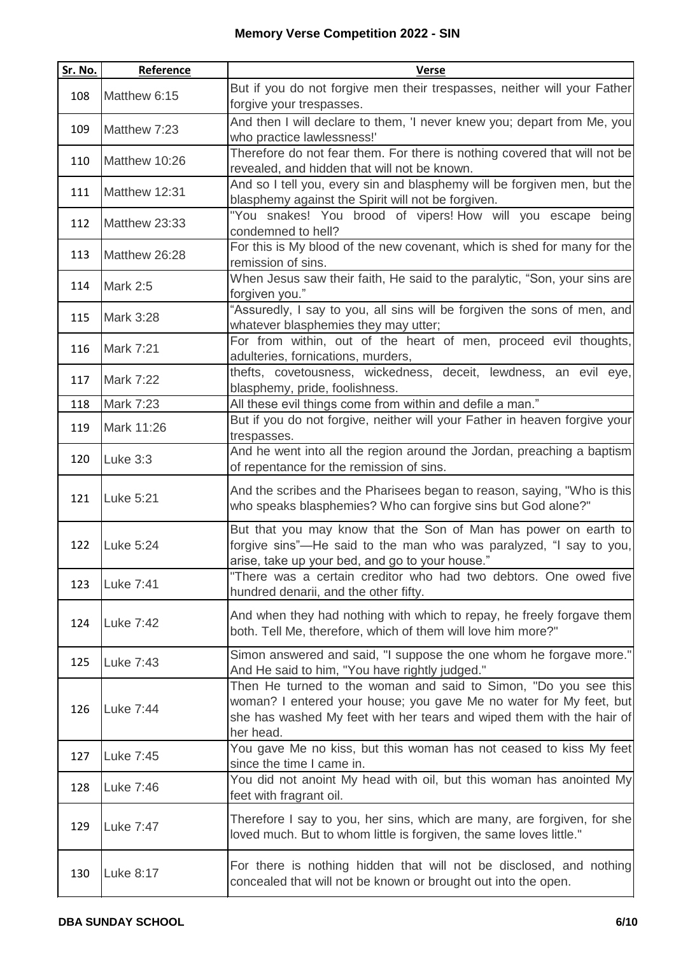| Sr. No. | Reference       | <b>Verse</b>                                                                                                                                                                                                                |
|---------|-----------------|-----------------------------------------------------------------------------------------------------------------------------------------------------------------------------------------------------------------------------|
| 108     | Matthew 6:15    | But if you do not forgive men their trespasses, neither will your Father<br>forgive your trespasses.                                                                                                                        |
| 109     | Matthew 7:23    | And then I will declare to them, 'I never knew you; depart from Me, you<br>who practice lawlessness!'                                                                                                                       |
| 110     | Matthew 10:26   | Therefore do not fear them. For there is nothing covered that will not be<br>revealed, and hidden that will not be known.                                                                                                   |
| 111     | Matthew 12:31   | And so I tell you, every sin and blasphemy will be forgiven men, but the<br>blasphemy against the Spirit will not be forgiven.                                                                                              |
| 112     | Matthew 23:33   | "You snakes! You brood of vipers! How will you escape being<br>condemned to hell?                                                                                                                                           |
| 113     | Matthew 26:28   | For this is My blood of the new covenant, which is shed for many for the<br>remission of sins.                                                                                                                              |
| 114     | <b>Mark 2:5</b> | When Jesus saw their faith, He said to the paralytic, "Son, your sins are<br>forgiven you."                                                                                                                                 |
| 115     | Mark 3:28       | "Assuredly, I say to you, all sins will be forgiven the sons of men, and<br>whatever blasphemies they may utter;                                                                                                            |
| 116     | Mark 7:21       | For from within, out of the heart of men, proceed evil thoughts,<br>adulteries, fornications, murders,                                                                                                                      |
| 117     | Mark 7:22       | thefts, covetousness, wickedness, deceit, lewdness, an evil eye,<br>blasphemy, pride, foolishness.                                                                                                                          |
| 118     | Mark 7:23       | All these evil things come from within and defile a man."                                                                                                                                                                   |
| 119     | Mark 11:26      | But if you do not forgive, neither will your Father in heaven forgive your<br>trespasses.                                                                                                                                   |
| 120     | Luke 3:3        | And he went into all the region around the Jordan, preaching a baptism<br>of repentance for the remission of sins.                                                                                                          |
| 121     | Luke 5:21       | And the scribes and the Pharisees began to reason, saying, "Who is this<br>who speaks blasphemies? Who can forgive sins but God alone?"                                                                                     |
| 122     | Luke 5:24       | But that you may know that the Son of Man has power on earth to<br>forgive sins"—He said to the man who was paralyzed, "I say to you,<br>arise, take up your bed, and go to your house."                                    |
| 123     | Luke 7:41       | "There was a certain creditor who had two debtors. One owed five<br>hundred denarii, and the other fifty.                                                                                                                   |
| 124     | Luke 7:42       | And when they had nothing with which to repay, he freely forgave them<br>both. Tell Me, therefore, which of them will love him more?"                                                                                       |
| 125     | Luke 7:43       | Simon answered and said, "I suppose the one whom he forgave more."<br>And He said to him, "You have rightly judged."                                                                                                        |
| 126     | Luke 7:44       | Then He turned to the woman and said to Simon, "Do you see this<br>woman? I entered your house; you gave Me no water for My feet, but<br>she has washed My feet with her tears and wiped them with the hair of<br>her head. |
| 127     | Luke 7:45       | You gave Me no kiss, but this woman has not ceased to kiss My feet<br>since the time I came in.                                                                                                                             |
| 128     | Luke 7:46       | You did not anoint My head with oil, but this woman has anointed My<br>feet with fragrant oil.                                                                                                                              |
| 129     | Luke 7:47       | Therefore I say to you, her sins, which are many, are forgiven, for she<br>loved much. But to whom little is forgiven, the same loves little."                                                                              |
| 130     | Luke 8:17       | For there is nothing hidden that will not be disclosed, and nothing<br>concealed that will not be known or brought out into the open.                                                                                       |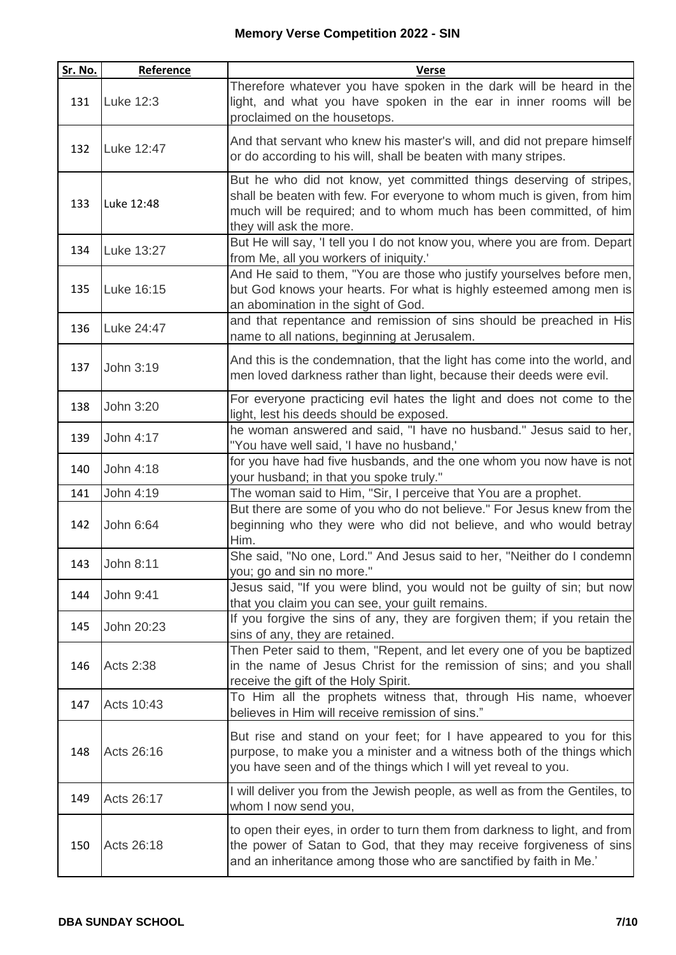| Sr. No. | Reference        | <b>Verse</b>                                                                                                                                                                                                                                   |
|---------|------------------|------------------------------------------------------------------------------------------------------------------------------------------------------------------------------------------------------------------------------------------------|
| 131     | Luke 12:3        | Therefore whatever you have spoken in the dark will be heard in the<br>light, and what you have spoken in the ear in inner rooms will be<br>proclaimed on the housetops.                                                                       |
| 132     | Luke 12:47       | And that servant who knew his master's will, and did not prepare himself<br>or do according to his will, shall be beaten with many stripes.                                                                                                    |
| 133     | Luke 12:48       | But he who did not know, yet committed things deserving of stripes,<br>shall be beaten with few. For everyone to whom much is given, from him<br>much will be required; and to whom much has been committed, of him<br>they will ask the more. |
| 134     | Luke 13:27       | But He will say, 'I tell you I do not know you, where you are from. Depart<br>from Me, all you workers of iniquity.'                                                                                                                           |
| 135     | Luke 16:15       | And He said to them, "You are those who justify yourselves before men,<br>but God knows your hearts. For what is highly esteemed among men is<br>an abomination in the sight of God.                                                           |
| 136     | Luke 24:47       | and that repentance and remission of sins should be preached in His<br>name to all nations, beginning at Jerusalem.                                                                                                                            |
| 137     | John 3:19        | And this is the condemnation, that the light has come into the world, and<br>men loved darkness rather than light, because their deeds were evil.                                                                                              |
| 138     | John 3:20        | For everyone practicing evil hates the light and does not come to the<br>light, lest his deeds should be exposed.                                                                                                                              |
| 139     | John 4:17        | he woman answered and said, "I have no husband." Jesus said to her,<br>"You have well said, 'I have no husband,'                                                                                                                               |
| 140     | John 4:18        | for you have had five husbands, and the one whom you now have is not<br>your husband; in that you spoke truly."                                                                                                                                |
| 141     | John 4:19        | The woman said to Him, "Sir, I perceive that You are a prophet.                                                                                                                                                                                |
| 142     | John 6:64        | But there are some of you who do not believe." For Jesus knew from the<br>beginning who they were who did not believe, and who would betray<br>Him.                                                                                            |
| 143     | John 8:11        | She said, "No one, Lord." And Jesus said to her, "Neither do I condemn<br>you; go and sin no more."                                                                                                                                            |
| 144     | John 9:41        | Jesus said, "If you were blind, you would not be guilty of sin; but now<br>that you claim you can see, your guilt remains.                                                                                                                     |
| 145     | John 20:23       | If you forgive the sins of any, they are forgiven them; if you retain the<br>sins of any, they are retained.                                                                                                                                   |
| 146     | <b>Acts 2:38</b> | Then Peter said to them, "Repent, and let every one of you be baptized<br>in the name of Jesus Christ for the remission of sins; and you shall<br>receive the gift of the Holy Spirit.                                                         |
| 147     | Acts 10:43       | To Him all the prophets witness that, through His name, whoever<br>believes in Him will receive remission of sins."                                                                                                                            |
| 148     | Acts 26:16       | But rise and stand on your feet; for I have appeared to you for this<br>purpose, to make you a minister and a witness both of the things which<br>you have seen and of the things which I will yet reveal to you.                              |
| 149     | Acts 26:17       | I will deliver you from the Jewish people, as well as from the Gentiles, to<br>whom I now send you,                                                                                                                                            |
| 150     | Acts 26:18       | to open their eyes, in order to turn them from darkness to light, and from<br>the power of Satan to God, that they may receive forgiveness of sins<br>and an inheritance among those who are sanctified by faith in Me.'                       |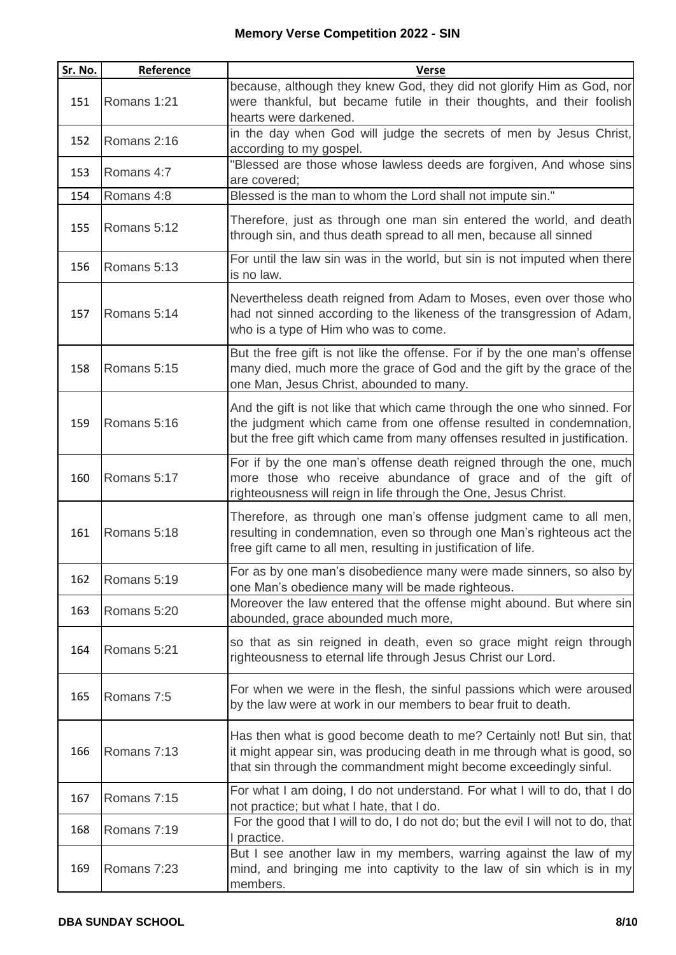| Sr. No. | Reference   | <b>Verse</b>                                                                                                                                                                                                                 |
|---------|-------------|------------------------------------------------------------------------------------------------------------------------------------------------------------------------------------------------------------------------------|
| 151     | Romans 1:21 | because, although they knew God, they did not glorify Him as God, nor<br>were thankful, but became futile in their thoughts, and their foolish<br>hearts were darkened.                                                      |
| 152     | Romans 2:16 | in the day when God will judge the secrets of men by Jesus Christ,<br>according to my gospel.                                                                                                                                |
| 153     | Romans 4:7  | "Blessed are those whose lawless deeds are forgiven, And whose sins<br>are covered;                                                                                                                                          |
| 154     | Romans 4:8  | Blessed is the man to whom the Lord shall not impute sin."                                                                                                                                                                   |
| 155     | Romans 5:12 | Therefore, just as through one man sin entered the world, and death<br>through sin, and thus death spread to all men, because all sinned                                                                                     |
| 156     | Romans 5:13 | For until the law sin was in the world, but sin is not imputed when there<br>is no law.                                                                                                                                      |
| 157     | Romans 5:14 | Nevertheless death reigned from Adam to Moses, even over those who<br>had not sinned according to the likeness of the transgression of Adam,<br>who is a type of Him who was to come.                                        |
| 158     | Romans 5:15 | But the free gift is not like the offense. For if by the one man's offense<br>many died, much more the grace of God and the gift by the grace of the<br>one Man, Jesus Christ, abounded to many.                             |
| 159     | Romans 5:16 | And the gift is not like that which came through the one who sinned. For<br>the judgment which came from one offense resulted in condemnation,<br>but the free gift which came from many offenses resulted in justification. |
| 160     | Romans 5:17 | For if by the one man's offense death reigned through the one, much<br>more those who receive abundance of grace and of the gift of<br>righteousness will reign in life through the One, Jesus Christ.                       |
| 161     | Romans 5:18 | Therefore, as through one man's offense judgment came to all men,<br>resulting in condemnation, even so through one Man's righteous act the<br>free gift came to all men, resulting in justification of life.                |
| 162     | Romans 5:19 | For as by one man's disobedience many were made sinners, so also by<br>one Man's obedience many will be made righteous.                                                                                                      |
| 163     | Romans 5:20 | Moreover the law entered that the offense might abound. But where sin<br>abounded, grace abounded much more,                                                                                                                 |
| 164     | Romans 5:21 | so that as sin reigned in death, even so grace might reign through<br>righteousness to eternal life through Jesus Christ our Lord.                                                                                           |
| 165     | Romans 7:5  | For when we were in the flesh, the sinful passions which were aroused<br>by the law were at work in our members to bear fruit to death.                                                                                      |
| 166     | Romans 7:13 | Has then what is good become death to me? Certainly not! But sin, that<br>it might appear sin, was producing death in me through what is good, so<br>that sin through the commandment might become exceedingly sinful.       |
| 167     | Romans 7:15 | For what I am doing, I do not understand. For what I will to do, that I do<br>not practice; but what I hate, that I do.                                                                                                      |
| 168     | Romans 7:19 | For the good that I will to do, I do not do; but the evil I will not to do, that<br>I practice.                                                                                                                              |
| 169     | Romans 7:23 | But I see another law in my members, warring against the law of my<br>mind, and bringing me into captivity to the law of sin which is in my<br>members.                                                                      |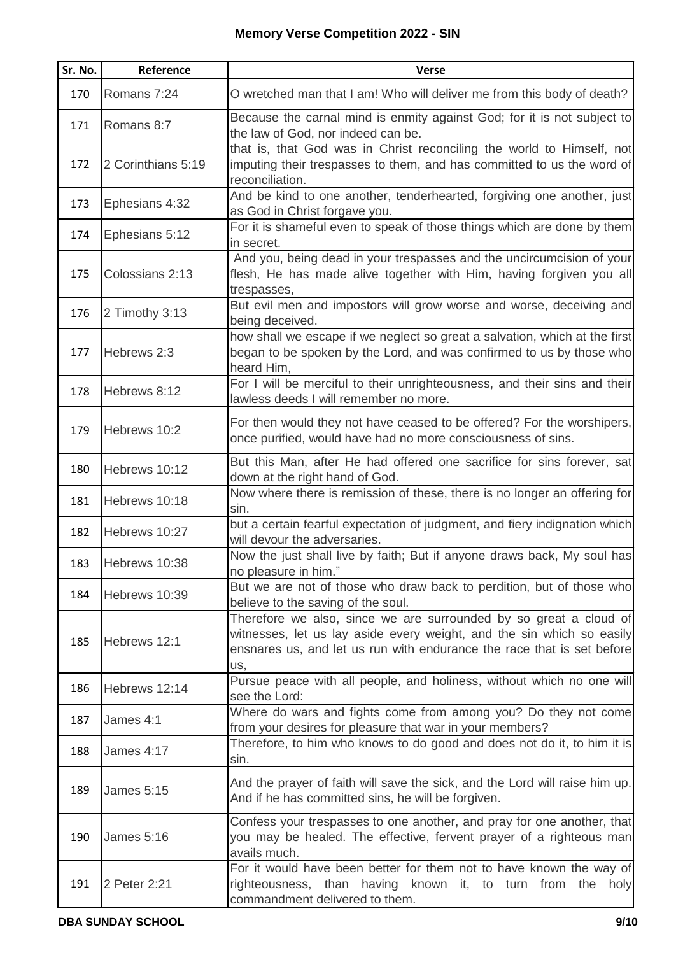| Sr. No. | Reference          | <b>Verse</b>                                                                                                                                                                                                                |
|---------|--------------------|-----------------------------------------------------------------------------------------------------------------------------------------------------------------------------------------------------------------------------|
| 170     | Romans 7:24        | O wretched man that I am! Who will deliver me from this body of death?                                                                                                                                                      |
| 171     | Romans 8:7         | Because the carnal mind is enmity against God; for it is not subject to<br>the law of God, nor indeed can be.                                                                                                               |
| 172     |                    | that is, that God was in Christ reconciling the world to Himself, not                                                                                                                                                       |
|         | 2 Corinthians 5:19 | imputing their trespasses to them, and has committed to us the word of<br>reconciliation.                                                                                                                                   |
| 173     | Ephesians 4:32     | And be kind to one another, tenderhearted, forgiving one another, just<br>as God in Christ forgave you.                                                                                                                     |
| 174     | Ephesians 5:12     | For it is shameful even to speak of those things which are done by them<br>in secret.                                                                                                                                       |
| 175     | Colossians 2:13    | And you, being dead in your trespasses and the uncircumcision of your<br>flesh, He has made alive together with Him, having forgiven you all<br>trespasses,                                                                 |
| 176     | 2 Timothy 3:13     | But evil men and impostors will grow worse and worse, deceiving and<br>being deceived.                                                                                                                                      |
| 177     | Hebrews 2:3        | how shall we escape if we neglect so great a salvation, which at the first<br>began to be spoken by the Lord, and was confirmed to us by those who<br>heard Him,                                                            |
| 178     | Hebrews 8:12       | For I will be merciful to their unrighteousness, and their sins and their<br>lawless deeds I will remember no more.                                                                                                         |
| 179     | Hebrews 10:2       | For then would they not have ceased to be offered? For the worshipers,<br>once purified, would have had no more consciousness of sins.                                                                                      |
| 180     | Hebrews 10:12      | But this Man, after He had offered one sacrifice for sins forever, sat<br>down at the right hand of God.                                                                                                                    |
| 181     | Hebrews 10:18      | Now where there is remission of these, there is no longer an offering for<br>sin.                                                                                                                                           |
| 182     | Hebrews 10:27      | but a certain fearful expectation of judgment, and fiery indignation which<br>will devour the adversaries.                                                                                                                  |
| 183     | Hebrews 10:38      | Now the just shall live by faith; But if anyone draws back, My soul has<br>no pleasure in him."                                                                                                                             |
| 184     | Hebrews 10:39      | But we are not of those who draw back to perdition, but of those who<br>believe to the saving of the soul.                                                                                                                  |
| 185     | Hebrews 12:1       | Therefore we also, since we are surrounded by so great a cloud of<br>witnesses, let us lay aside every weight, and the sin which so easily<br>ensnares us, and let us run with endurance the race that is set before<br>us, |
| 186     | Hebrews 12:14      | Pursue peace with all people, and holiness, without which no one will<br>see the Lord:                                                                                                                                      |
| 187     | James 4:1          | Where do wars and fights come from among you? Do they not come<br>from your desires for pleasure that war in your members?                                                                                                  |
| 188     | James 4:17         | Therefore, to him who knows to do good and does not do it, to him it is<br>sin.                                                                                                                                             |
| 189     | <b>James 5:15</b>  | And the prayer of faith will save the sick, and the Lord will raise him up.<br>And if he has committed sins, he will be forgiven.                                                                                           |
| 190     | <b>James 5:16</b>  | Confess your trespasses to one another, and pray for one another, that<br>you may be healed. The effective, fervent prayer of a righteous man<br>avails much.                                                               |
| 191     | 2 Peter 2:21       | For it would have been better for them not to have known the way of<br>righteousness, than having known it, to turn from the holy<br>commandment delivered to them.                                                         |